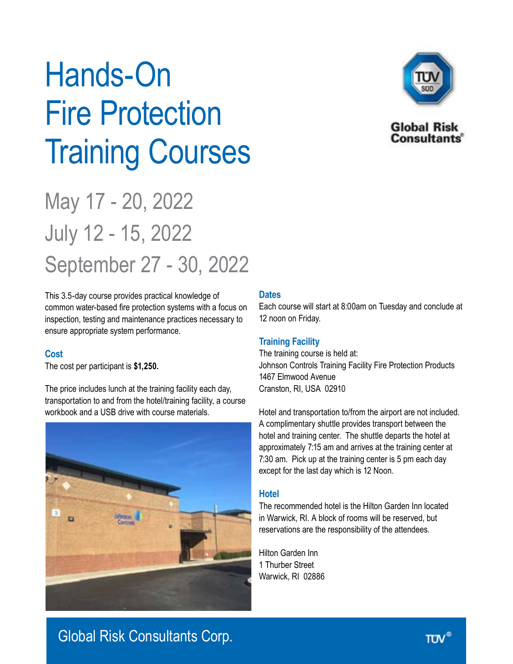# Hands-On Fire Protection Training Courses

## May 17 - 20, 2022 July 12 15, 2022 September 27 - 30, 2022

This 3.5-day course provides practical knowledge of common water-based fire protection systems with a focus on inspection, testing and maintenance practices necessary to ensure appropriate system performance.

#### **Cost**

The cost per participant is **\$1,250.**

The price includes lunch at the training facility each day, transportation to and from the hotel/training facility, a course workbook and a USB drive with course materials.



#### **Dates**

Each course will start at 8:00am on Tuesday and conclude at 12 noon on Friday.

#### **Training Facility**

The training course is held at: Johnson Controls Training Facility Fire Protection Products 1467 Elmwood Avenue Cranston, RI, USA 02910

Hotel and transportation to/from the airport are not included. A complimentary shuttle provides transport between the hotel and training center. The shuttle departs the hotel at approximately 7:15 am and arrives at the training center at 7:30 am. Pick up at the training center is 5 pm each day except for the last day which is 12 Noon.

#### **Hotel**

The recommended hotel is the Hilton Garden Inn located in Warwick, RI. A block of rooms will be reserved, but reservations are the responsibility of the attendees.

Hilton Garden Inn 1 Thurber Street Warwick, RI 02886



**Global Risk Consultants** 

### Global Risk Consultants Corp.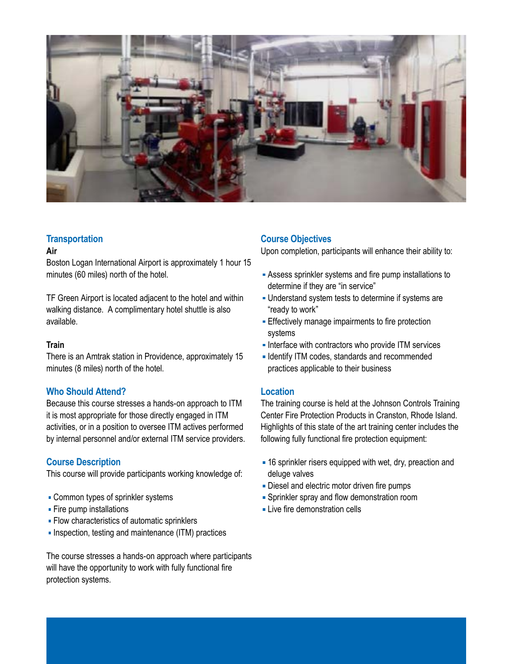

#### **Transportation**

#### **Air**

Boston Logan International Airport is approximately 1 hour 15 minutes (60 miles) north of the hotel.

TF Green Airport is located adjacent to the hotel and within walking distance. A complimentary hotel shuttle is also available.

#### **Train**

There is an Amtrak station in Providence, approximately 15 minutes (8 miles) north of the hotel.

#### **Who Should Attend?**

Because this course stresses a hands-on approach to ITM it is most appropriate for those directly engaged in ITM activities, or in a position to oversee ITM actives performed by internal personnel and/or external ITM service providers.

#### **Course Description**

This course will provide participants working knowledge of:

- Common types of sprinkler systems
- **Fire pump installations**
- **Flow characteristics of automatic sprinklers**
- Inspection, testing and maintenance (ITM) practices

The course stresses a hands-on approach where participants will have the opportunity to work with fully functional fire protection systems.

#### **Course Objectives**

Upon completion, participants will enhance their ability to:

- Assess sprinkler systems and fire pump installations to determine if they are "in service"
- Understand system tests to determine if systems are "ready to work"
- **Effectively manage impairments to fire protection** systems
- Interface with contractors who provide ITM services
- **Indentify ITM codes, standards and recommended** practices applicable to their business

#### **Location**

The training course is held at the Johnson Controls Training Center Fire Protection Products in Cranston, Rhode Island. Highlights of this state of the art training center includes the following fully functional fire protection equipment:

- 16 sprinkler risers equipped with wet, dry, preaction and deluge valves
- Diesel and electric motor driven fire pumps
- Sprinkler spray and flow demonstration room
- **Live fire demonstration cells**